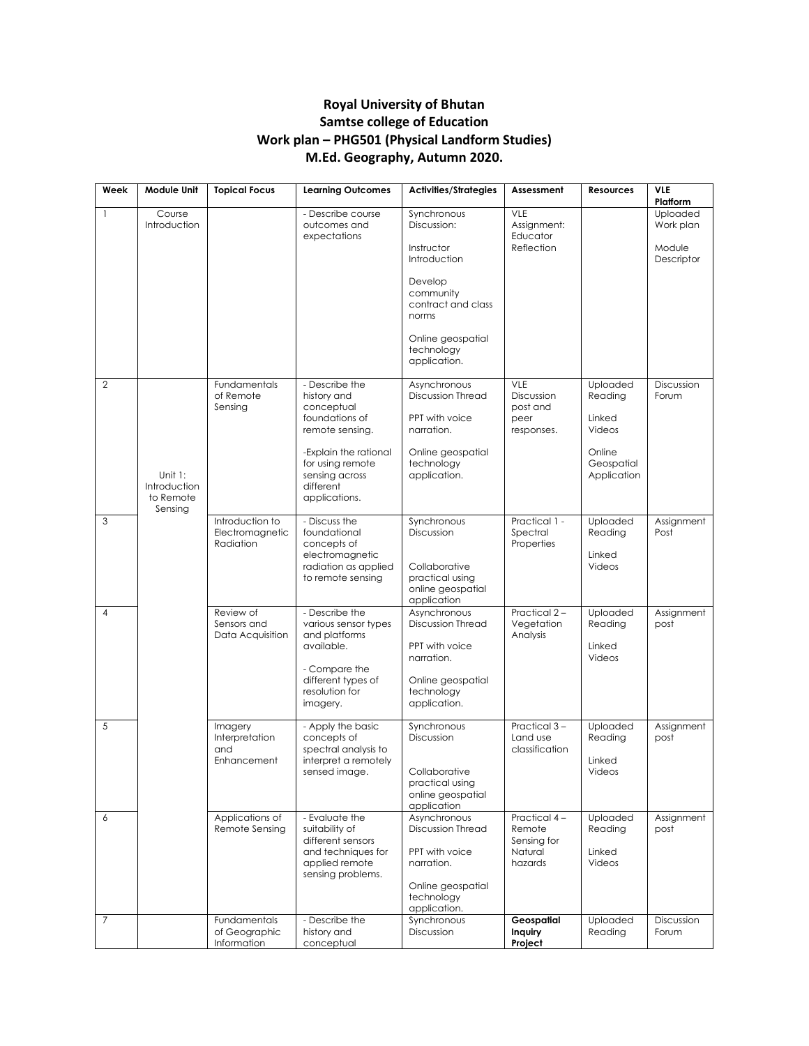## **Royal University of Bhutan Samtse college of Education Work plan – PHG501 (Physical Landform Studies) M.Ed. Geography, Autumn 2020.**

| Week           | Module Unit                                        | <b>Topical Focus</b>                                | <b>Learning Outcomes</b>                                                                                           | <b>Activities/Strategies</b>                                                                                                | Assessment                                                  | <b>Resources</b>                        | <b>VLE</b><br>Platform                        |
|----------------|----------------------------------------------------|-----------------------------------------------------|--------------------------------------------------------------------------------------------------------------------|-----------------------------------------------------------------------------------------------------------------------------|-------------------------------------------------------------|-----------------------------------------|-----------------------------------------------|
| $\mathbf{1}$   | Course<br>Introduction                             |                                                     | - Describe course<br>outcomes and<br>expectations                                                                  | Synchronous<br>Discussion:<br>Instructor<br>Introduction                                                                    | VLE<br>Assignment:<br>Educator<br>Reflection                |                                         | Uploaded<br>Work plan<br>Module<br>Descriptor |
|                |                                                    |                                                     |                                                                                                                    | Develop<br>community<br>contract and class<br>norms                                                                         |                                                             |                                         |                                               |
|                |                                                    |                                                     |                                                                                                                    | Online geospatial<br>technology<br>application.                                                                             |                                                             |                                         |                                               |
| $\mathbf{2}$   |                                                    | Fundamentals<br>of Remote<br>Sensing                | - Describe the<br>history and<br>conceptual<br>foundations of                                                      | Asynchronous<br><b>Discussion Thread</b><br>PPT with voice                                                                  | VLE<br>Discussion<br>post and<br>peer                       | Uploaded<br>Reading<br>Linked           | Discussion<br>Forum                           |
|                |                                                    |                                                     | remote sensing.<br>-Explain the rational                                                                           | narration.<br>Online geospatial                                                                                             | responses.                                                  | Videos<br>Online                        |                                               |
|                | Unit $1$ :<br>Introduction<br>to Remote<br>Sensing |                                                     | for using remote<br>sensing across<br>different<br>applications.                                                   | technology<br>application.                                                                                                  |                                                             | Geospatial<br>Application               |                                               |
| 3              |                                                    | Introduction to<br>Electromagnetic<br>Radiation     | - Discuss the<br>foundational<br>concepts of<br>electromagnetic<br>radiation as applied<br>to remote sensing       | Synchronous<br>Discussion<br>Collaborative<br>practical using<br>online geospatial<br>application                           | Practical 1 -<br>Spectral<br>Properties                     | Uploaded<br>Reading<br>Linked<br>Videos | Assignment<br>Post                            |
| $\overline{4}$ |                                                    | Review of<br>Sensors and<br>Data Acquisition        | - Describe the<br>various sensor types<br>and platforms<br>available.                                              | Asynchronous<br><b>Discussion Thread</b><br>PPT with voice<br>narration.                                                    | Practical 2-<br>Vegetation<br>Analysis                      | Uploaded<br>Reading<br>Linked<br>Videos | Assignment<br>post                            |
|                |                                                    |                                                     | - Compare the<br>different types of<br>resolution for<br>imagery.                                                  | Online geospatial<br>technology<br>application.                                                                             |                                                             |                                         |                                               |
| 5              |                                                    | Imagery<br>Interpretation<br>and<br>Enhancement     | - Apply the basic<br>concepts of<br>spectral analysis to<br>interpret a remotely<br>sensed image.                  | Synchronous<br>Discussion<br>Collaborative<br>practical using<br>online geospatial<br>application                           | Practical 3-<br>Land use<br>classification                  | Uploaded<br>Reading<br>Linked<br>Videos | Assignment<br>post                            |
| 6              |                                                    | Applications of<br>Remote Sensing                   | - Evaluate the<br>suitability of<br>different sensors<br>and techniques for<br>applied remote<br>sensing problems. | Asynchronous<br><b>Discussion Thread</b><br>PPT with voice<br>narration.<br>Online geospatial<br>technology<br>application. | Practical 4-<br>Remote<br>Sensing for<br>Natural<br>hazards | Uploaded<br>Reading<br>Linked<br>Videos | Assignment<br>post                            |
| $\overline{7}$ |                                                    | <b>Fundamentals</b><br>of Geographic<br>Information | - Describe the<br>history and<br>conceptual                                                                        | Synchronous<br>Discussion                                                                                                   | Geospatial<br>Inquiry<br>Project                            | Uploaded<br>Reading                     | Discussion<br>Forum                           |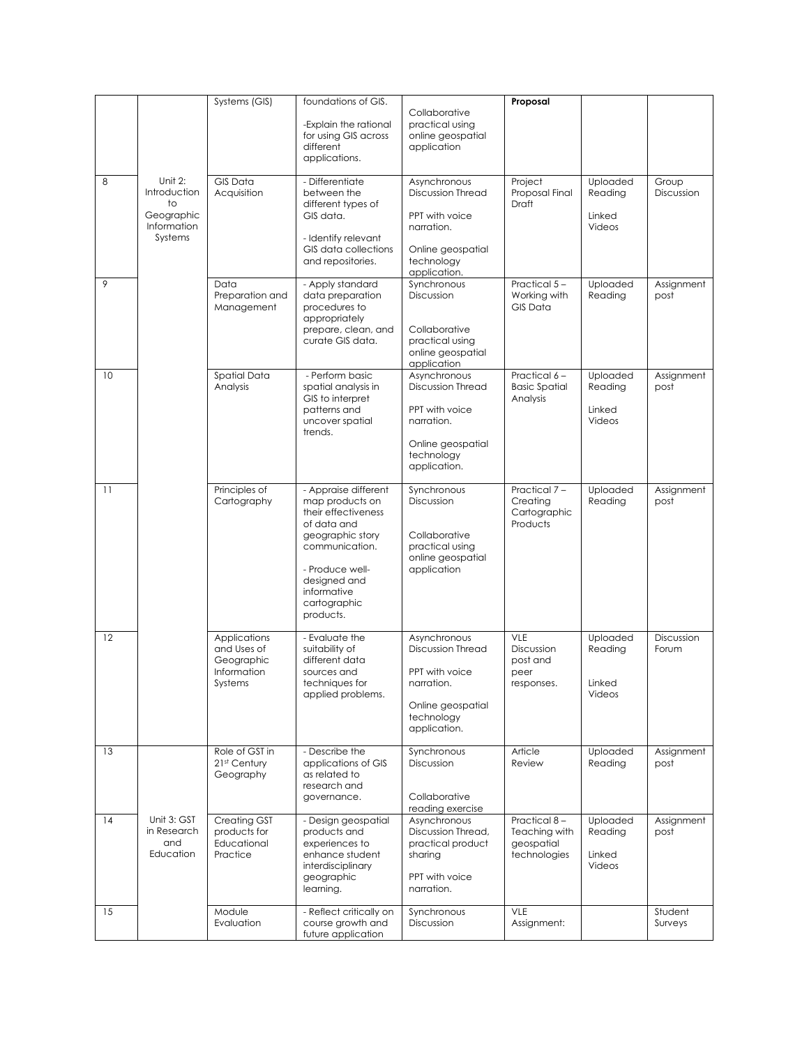|    |                                                                       | Systems (GIS)                                                       | foundations of GIS.<br>-Explain the rational                                                                                                                                                       | Collaborative<br>practical using                                                                                            | Proposal                                                    |                                         |                     |
|----|-----------------------------------------------------------------------|---------------------------------------------------------------------|----------------------------------------------------------------------------------------------------------------------------------------------------------------------------------------------------|-----------------------------------------------------------------------------------------------------------------------------|-------------------------------------------------------------|-----------------------------------------|---------------------|
|    |                                                                       |                                                                     | for using GIS across<br>different<br>applications.                                                                                                                                                 | online geospatial<br>application                                                                                            |                                                             |                                         |                     |
| 8  | Unit 2:<br>Introduction<br>to<br>Geographic<br>Information<br>Systems | <b>GIS Data</b><br>Acquisition                                      | - Differentiate<br>between the<br>different types of<br>GIS data.<br>- Identify relevant<br>GIS data collections<br>and repositories.                                                              | Asynchronous<br><b>Discussion Thread</b><br>PPT with voice<br>narration.<br>Online geospatial<br>technology                 | Project<br>Proposal Final<br><b>Draft</b>                   | Uploaded<br>Reading<br>Linked<br>Videos | Group<br>Discussion |
| 9  |                                                                       | Data<br>Preparation and<br>Management                               | - Apply standard<br>data preparation<br>procedures to<br>appropriately<br>prepare, clean, and<br>curate GIS data.                                                                                  | application.<br>Synchronous<br>Discussion<br>Collaborative<br>practical using<br>online geospatial<br>application           | Practical 5-<br>Working with<br><b>GIS Data</b>             | Uploaded<br>Reading                     | Assignment<br>post  |
| 10 |                                                                       | Spatial Data<br>Analysis                                            | - Perform basic<br>spatial analysis in<br>GIS to interpret<br>patterns and<br>uncover spatial<br>trends.                                                                                           | Asynchronous<br><b>Discussion Thread</b><br>PPT with voice<br>narration.<br>Online geospatial<br>technology<br>application. | Practical 6-<br><b>Basic Spatial</b><br>Analysis            | Uploaded<br>Reading<br>Linked<br>Videos | Assignment<br>post  |
| 11 |                                                                       | Principles of<br>Cartography                                        | - Appraise different<br>map products on<br>their effectiveness<br>of data and<br>geographic story<br>communication.<br>- Produce well-<br>designed and<br>informative<br>cartographic<br>products. | Synchronous<br>Discussion<br>Collaborative<br>practical using<br>online geospatial<br>application                           | Practical 7-<br>Creating<br>Cartographic<br>Products        | Uploaded<br>Reading                     | Assignment<br>post  |
| 12 |                                                                       | Applications<br>and Uses of<br>Geographic<br>Information<br>Systems | - Evaluate the<br>suitability of<br>different data<br>sources and<br>techniques for<br>applied problems.                                                                                           | Asynchronous<br><b>Discussion Thread</b><br>PPT with voice<br>narration.<br>Online geospatial<br>technology<br>application. | VLE<br>Discussion<br>post and<br>peer<br>responses.         | Uploaded<br>Reading<br>Linked<br>Videos | Discussion<br>Forum |
| 13 |                                                                       | Role of GST in<br>21 <sup>st</sup> Century<br>Geography             | - Describe the<br>applications of GIS<br>as related to<br>research and<br>governance.                                                                                                              | Synchronous<br>Discussion<br>Collaborative<br>reading exercise                                                              | Article<br>Review                                           | Uploaded<br>Reading                     | Assignment<br>post  |
| 14 | Unit 3: GST<br>in Research<br>and<br>Education                        | Creating GST<br>products for<br>Educational<br>Practice             | - Design geospatial<br>products and<br>experiences to<br>enhance student<br>interdisciplinary<br>geographic<br>learning.                                                                           | Asynchronous<br>Discussion Thread,<br>practical product<br>sharing<br>PPT with voice<br>narration.                          | Practical 8-<br>Teaching with<br>geospatial<br>technologies | Uploaded<br>Reading<br>Linked<br>Videos | Assignment<br>post  |
| 15 |                                                                       | Module<br>Evaluation                                                | - Reflect critically on<br>course growth and<br>future application                                                                                                                                 | Synchronous<br>Discussion                                                                                                   | VLE<br>Assignment:                                          |                                         | Student<br>Surveys  |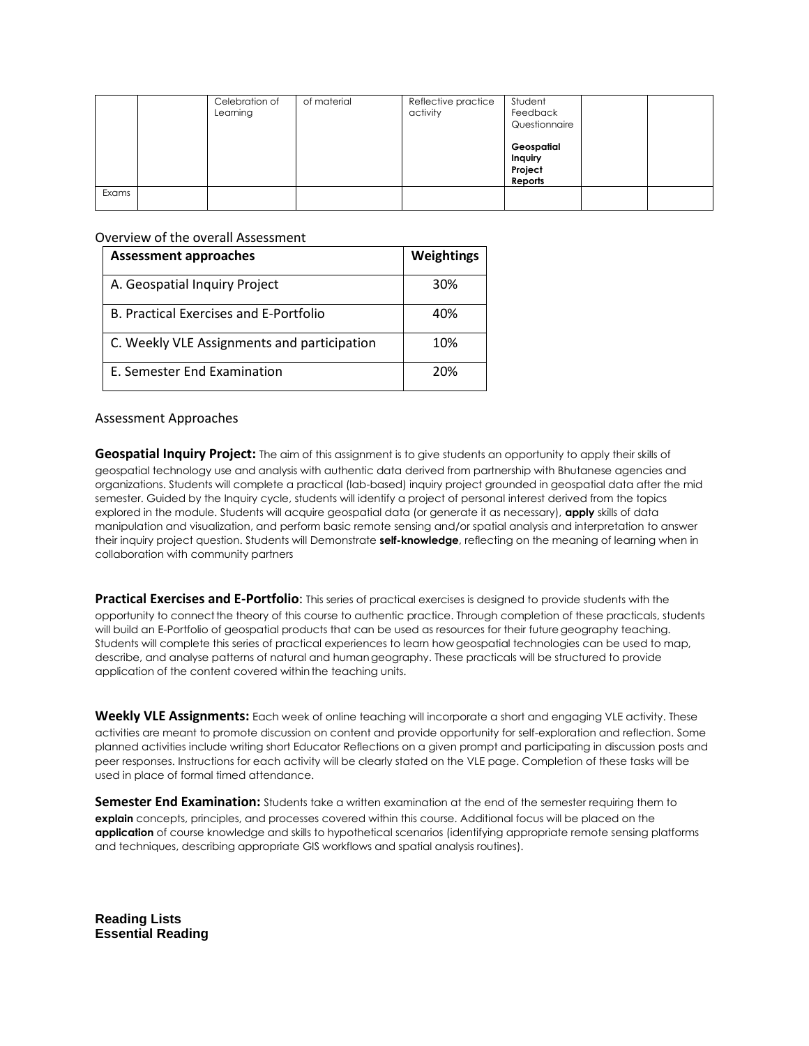|       | Celebration of<br>Learning | of material | Reflective practice<br>activity | Student<br>Feedback<br>Questionnaire        |  |
|-------|----------------------------|-------------|---------------------------------|---------------------------------------------|--|
|       |                            |             |                                 | Geospatial<br>Inquiry<br>Project<br>Reports |  |
| Exams |                            |             |                                 |                                             |  |

## Overview of the overall Assessment

| <b>Assessment approaches</b>                | <b>Weightings</b> |  |
|---------------------------------------------|-------------------|--|
| A. Geospatial Inquiry Project               | 30%               |  |
| B. Practical Exercises and E-Portfolio      | 40%               |  |
| C. Weekly VLE Assignments and participation | 10%               |  |
| E. Semester End Examination                 | 20%               |  |

## Assessment Approaches

**Geospatial Inquiry Project:** The aim of this assignment is to give students an opportunity to apply their skills of geospatial technology use and analysis with authentic data derived from partnership with Bhutanese agencies and organizations. Students will complete a practical (lab-based) inquiry project grounded in geospatial data after the mid semester. Guided by the Inquiry cycle, students will identify a project of personal interest derived from the topics explored in the module. Students will acquire geospatial data (or generate it as necessary), **apply** skills of data manipulation and visualization, and perform basic remote sensing and/or spatial analysis and interpretation to answer their inquiry project question. Students will Demonstrate **self-knowledge**, reflecting on the meaning of learning when in collaboration with community partners

**Practical Exercises and E-Portfolio**: This series of practical exercises is designed to provide students with the opportunity to connectthe theory of this course to authentic practice. Through completion of these practicals, students will build an E-Portfolio of geospatial products that can be used as resources for their future geography teaching. Students will complete this series of practical experiences to learn how geospatial technologies can be used to map, describe, and analyse patterns of natural and humangeography. These practicals will be structured to provide application of the content covered withinthe teaching units.

**Weekly VLE Assignments:** Each week of online teaching will incorporate a short and engaging VLE activity. These activities are meant to promote discussion on content and provide opportunity for self-exploration and reflection. Some planned activities include writing short Educator Reflections on a given prompt and participating in discussion posts and peer responses. Instructions for each activity will be clearly stated on the VLE page. Completion of these tasks will be used in place of formal timed attendance.

**Semester End Examination:** Students take a written examination at the end of the semester requiring them to **explain** concepts, principles, and processes covered within this course. Additional focus will be placed on the **application** of course knowledge and skills to hypothetical scenarios (identifying appropriate remote sensing platforms and techniques, describing appropriate GIS workflows and spatial analysis routines).

**Reading Lists Essential Reading**